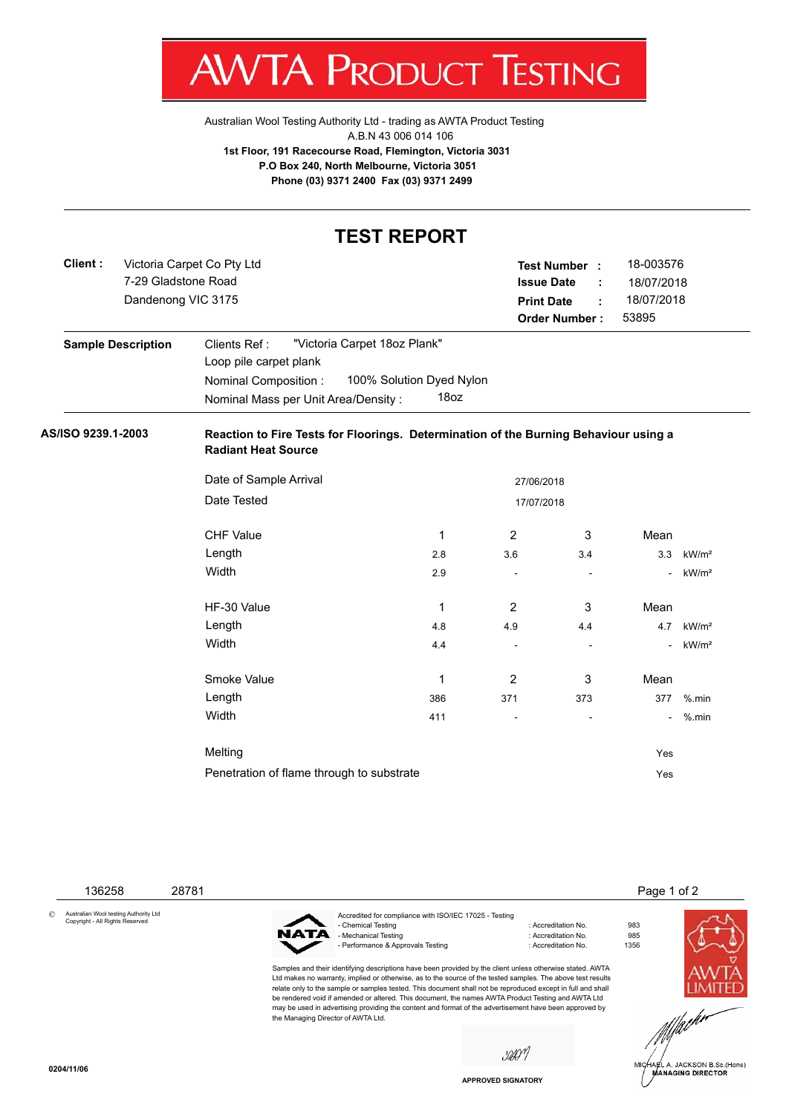V IA :STING ľ

[Australian Wool Testing Authority Ltd - trading as AWTA Product Testing](http://www.awtaproducttesting.com.au/) A.B.N 43 006 014 106 **1st Floor, 191 Racecourse Road, Flemington, Victoria 3031 P.O Box 240, North Melbourne, Victoria 3051 Phone (03) 9371 2400 Fax (03) 9371 2499**

| <b>TEST REPORT</b> |                                           |                                                                                                                                       |                                  |                          |                                                |                |                   |  |  |  |  |
|--------------------|-------------------------------------------|---------------------------------------------------------------------------------------------------------------------------------------|----------------------------------|--------------------------|------------------------------------------------|----------------|-------------------|--|--|--|--|
| Client:            | 7-29 Gladstone Road<br>Dandenong VIC 3175 | Victoria Carpet Co Pty Ltd<br><b>Test Number:</b><br><b>Issue Date</b><br>÷<br><b>Print Date</b><br>÷<br><b>Order Number:</b>         |                                  |                          | 18-003576<br>18/07/2018<br>18/07/2018<br>53895 |                |                   |  |  |  |  |
|                    | <b>Sample Description</b>                 | "Victoria Carpet 18oz Plank"<br>Clients Ref:<br>Loop pile carpet plank<br>Nominal Composition:<br>Nominal Mass per Unit Area/Density: | 100% Solution Dyed Nylon<br>18oz |                          |                                                |                |                   |  |  |  |  |
| AS/ISO 9239.1-2003 |                                           | Reaction to Fire Tests for Floorings. Determination of the Burning Behaviour using a<br><b>Radiant Heat Source</b>                    |                                  |                          |                                                |                |                   |  |  |  |  |
|                    |                                           | Date of Sample Arrival<br>27/06/2018                                                                                                  |                                  |                          |                                                |                |                   |  |  |  |  |
|                    |                                           | Date Tested<br>17/07/2018                                                                                                             |                                  |                          |                                                |                |                   |  |  |  |  |
|                    |                                           | <b>CHF Value</b>                                                                                                                      | $\mathbf{1}$                     | $\overline{2}$           | 3                                              | Mean           |                   |  |  |  |  |
|                    |                                           | Length                                                                                                                                | 2.8                              | 3.6                      | 3.4                                            | 3.3            | kW/m <sup>2</sup> |  |  |  |  |
|                    |                                           | Width                                                                                                                                 | 2.9                              |                          |                                                |                | kW/m <sup>2</sup> |  |  |  |  |
|                    |                                           | HF-30 Value                                                                                                                           | 1                                | 2                        | 3                                              | Mean           |                   |  |  |  |  |
|                    |                                           | Length                                                                                                                                | 4.8                              | 4.9                      | 4.4                                            | 4.7            | kW/m <sup>2</sup> |  |  |  |  |
|                    |                                           | Width                                                                                                                                 | 4.4                              | $\overline{\phantom{a}}$ | $\overline{\phantom{a}}$                       | $\blacksquare$ | kW/m <sup>2</sup> |  |  |  |  |
|                    |                                           | Smoke Value                                                                                                                           | 1                                | 2                        | 3                                              | Mean           |                   |  |  |  |  |
|                    |                                           | Length                                                                                                                                | 386                              | 371                      | 373                                            | 377            | $%$ .min          |  |  |  |  |
|                    |                                           | Width                                                                                                                                 | 411                              |                          |                                                |                | $%$ .min          |  |  |  |  |
|                    |                                           | Melting                                                                                                                               |                                  |                          |                                                | Yes            |                   |  |  |  |  |
|                    |                                           | Penetration of flame through to substrate                                                                                             |                                  |                          |                                                | Yes            |                   |  |  |  |  |

136258 28781 Page 1 of 2

© Australian Wool testing Authority Ltd Copyright - All Rights Reserved

Accredited for compliance with ISO/IEC 17025 - Testing NATA - Mechanical Testing in a state of the second technology of Accreditation No. 985<br>- Performance & Approvals Testing in the second technology of Accreditation No. 61356 - Performance & Approvals Testing

: Accreditation No. 983<br>: Accreditation No. 985

Samples and their identifying descriptions have been provided by the client unless otherwise stated. AWTA Ltd makes no warranty, implied or otherwise, as to the source of the tested samples. The above test results relate only to the sample or samples tested. This document shall not be reproduced except in full and shall be rendered void if amended or altered. This document, the names AWTA Product Testing and AWTA Ltd may be used in advertising providing the content and format of the advertisement have been approved by the Managing Director of AWTA Ltd.

sûON



.<br>IA∉L A. JACKSON B.Sc.(Hons)<br>MANAGING DIRECTOR

**APPROVED SIGNATORY**